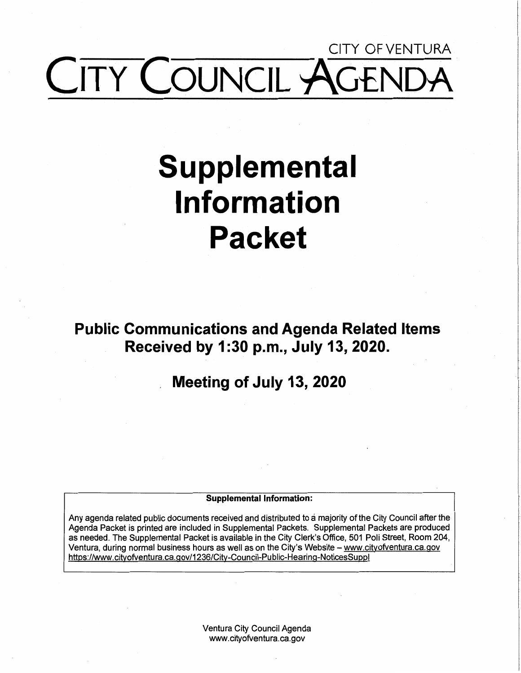## CITY OFVENTURA COUNCIL

## **Supplemental Information Packet**

**Public Communications and Agenda Related Items Received by 1 :30 p.m., July 13, 2020.** 

### , **Meeting of July 13, 2020**

#### **Supplemental Information:**

Any agenda related public documents received and distributed to a majority of the City Council after the Agenda Packet is printed are included in Supplemental Packets. Supplemental Packets are produced as needed. The Supplemental Packet is available in the City Clerk's Office, 501 Poli Street, Room 204, Ventura, during normal business hours as well as on the City's Website - www.cityofventura.ca.gov https://www.cityofventura.ca.gov/1236/City-Council-Public-Hearing-NoticesSuppl

> Ventura City Council Agenda www.cityofventura.ca.gov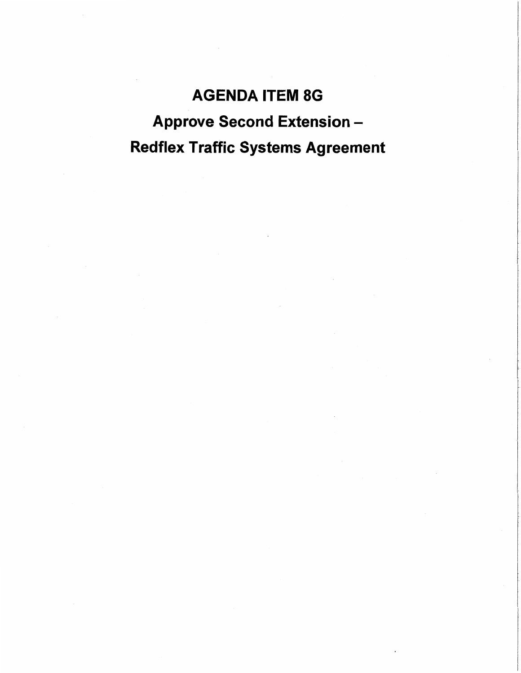### **AGENDA** ITEM BG Approve Second Extension - Redflex Traffic Systems Agreement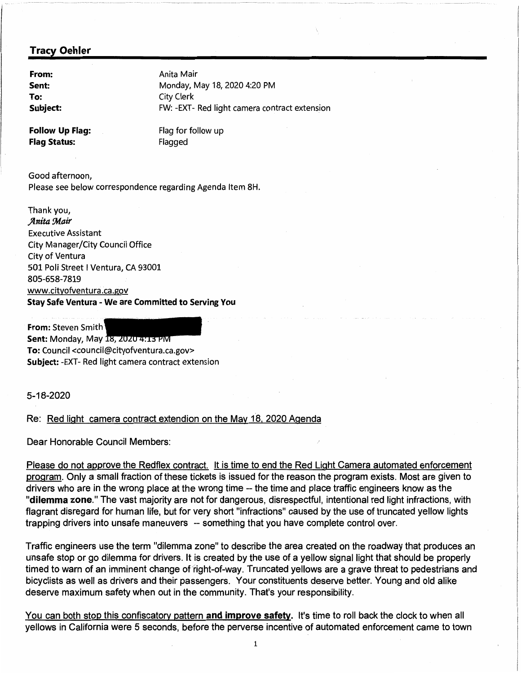**Sent: To:** 

**From:** Anita Mair Monday, May 18, 2020 4:20 PM City Clerk **Subject:** FW: -EXT- Red light camera contract extension

**Follow Up Flag:** Flag for follow up **Flag Status:** Flagged

Good afternoon, Please see below correspondence regarding Agenda Item 8H.

Thank you, **,Jlnita !Mair**  Executive Assistant City Manager/City Council Office City of Ventura 501 Poli Street I Ventura, CA 93001 805-658-7819 www.cityofventura.ca.gov **Stay Safe Ventura** - **We are Committed to Serving You** 

**From:** Steven Smith **Sent: Monday, May 18, 2020 4:13 PM To:** Council <council@cityofventura.ca.gov> **Subject:** -EXT- Red light camera contract extension

5-18-2020

#### Re: Red light camera contract extendion on the May 18, 2020 Agenda

Dear Honorable Council Members:

Please do not approve the Redflex contract. It is time to end the Red Light Camera automated enforcement program. Only a small fraction of these tickets is issued for the reason the program exists. Most are given to drivers who are in the wrong place at the wrong time -- the time and place traffic engineers know as the **"dilemma zone."** The vast majority are not for dangerous, disrespectful, intentional red light infractions, with flagrant disregard for human life, but for very short "infractions" caused by the use of truncated yellow lights trapping drivers into unsafe maneuvers -- something that you have complete control over.

Traffic engineers use the term "dilemma zone" to describe the area created on the roadway that produces an unsafe stop or go dilemma for drivers. It is created by the use of a yellow signal light that should be properly timed to warn of an imminent change of 'fight-of-way. Truncated yellows are a grave threat to pedestrians and bicyclists as well as drivers and their passengers. Your constituents deserve better. Young and old alike deserve maximum safety when out in the community. That's your responsibility.

You can both stop this confiscatory pattern **and improve safety.** It's time to roll back the clock to when all yellows in California were 5 seconds, before the perverse incentive of automated enforcement came to town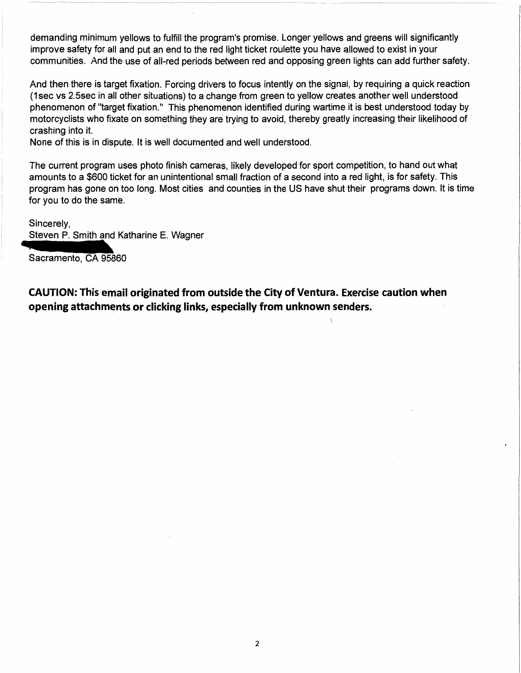demanding minimum yellows to fulfill the program's promise. Longer yellows and greens will significantly improve safety for all and put an end to the red light ticket roulette you have allowed to exist in your communities. And the use of all-red periods between red and opposing green lights can add further safety.

And then there is target fixation. Forcing drivers to focus intently on the signal, by requiring a quick reaction (1 sec vs 2.5sec in all other situations) to a change from green to yellow creates another well understood phenomenon of "target fixation." This phenomenon identified during wartime it is best understood today by motorcyclists who fixate on something they are trying to avoid, thereby greatly increasing their likelihood of crashing into it.

None of this is in dispute. It is well documented and well understood.

The current program uses photo finish cameras, likely developed for sport competition, to hand out what amounts to a \$600 ticket for an unintentional small fraction of a second into a red light, is for safety. This program has gone on too long. Most cities and counties in the US have shut their programs down. It is time for you to do the same. program has gone on too long. Most cities<br>for you to do the same.<br>Sincerely,<br>Steven P. Smith and Katharine E. Wagner<br>Sacramento, CA 95860

#### Sincerely,

Steven P. Smith and Katharine E. Wagner

Sacramento, CA 95860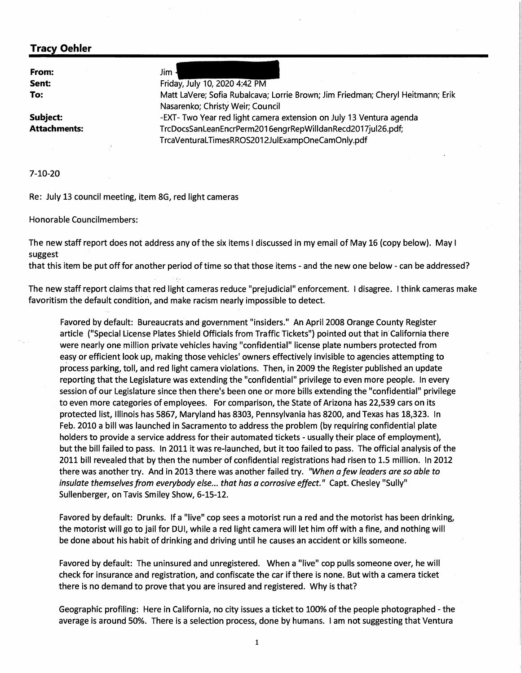**From: Sent: To:** 

**Attachments:** 

Jim Friday, July 10, 2020 4:42 PM Matt Lavere; Sofia Rubalcava; Lorrie Brown; Jim Friedman; Cheryl Heitmann; Erik Nasarenko; Christy Weir; Council **Subject:** -EXT- Two Year red light camera extension on July 13 Ventura agenda TrcDocsSanLeanEncrPerm2016engrRepWilldanRecd2017jul26.pdf; TrcaVenturaLTimesRROS2012JulExampOneCamOnly.pdf

**7-10-20** 

Re: July 13 council meeting, item 8G, red light cameras

Honorable Councilmembers:

The new staff report does not address any of the six items I discussed in my email of May 16 (copy below). May I suggest

that this item be put off for another period of time so that those items - and the new one below - can be addressed?

The new staff report claims that red light cameras reduce "prejudicial" enforcement. I disagree. I think cameras make favoritism the default condition, and make racism nearly impossible to detect.

Favored by default: Bureaucrats and government "insiders." An April 2008 Orange County Register article ("Special License Plates Shield Officials from Traffic Tickets") pointed out that in' California there were nearly one million private vehicles having "confidential" license plate numbers protected from easy or efficient look up, making those vehicles' owners effectively invisible to agencies attempting to process parking, toll, and red light camera violations. Then, in 2009 the Register published an update reporting that the Legislature was extending the "confidential" privilege to even more people. In every session of our Legislature since then there's been one or more bills extending the "confidential" privilege to even more categories of employees. For comparison, the State of Arizona has 22,539 cars on its protected list, Illinois has 5867, Maryland has 8303, Pennsylvania has 8200, and Texas has 18,323. In Feb. 2010 a bill was launched in Sacramento to address the problem (by requiring confidential plate holders to provide a service address for their automated tickets - usually their place of employment), but the bill failed to pass. In 2011 it was re-launched, but it too failed to pass. The official analysis of the 2011 bill revealed that by then the number of confidential registrations had risen to 1.5 million. In 2012 there was another try. And in 2013 there was another failed try. *"When a few leaders are so able to insulate themselves from everybody else ... that has a corrosive effect."* Capt. Chesley "Sully" Sullenberger, on Tavis Smiley Show, 6-15-12.

Favored by default: Drunks. If a "live" cop sees a motorist run a red and the motorist has been drinking, the motorist will go to jail for DUI, while a red light camera will let him off with a fine, and nothing will be done about his habit of drinking and driving until he causes an accident or kills someone.

Favored by default: The uninsured and unregistered. When a "live" cop pulls someone over, he will check for insurance and registration, and confiscate the car if there is none. But with a camera ticket there is no demand to prove that you are insured and registered. Why is that?

Geographic profiling: Here in California, no city issues a ticket to 100% of the people photographed - the average is around 50%. There is a selection process, done by humans. I am not suggesting that Ventura

1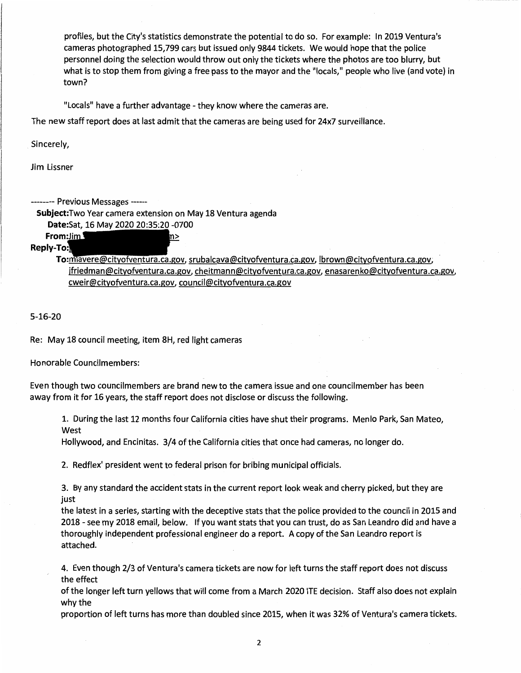profiles, but the City's statistics demonstrate the potential to do so. For example: In 2019 Ventura's cameras photographed 15,799 cars but issued only 9844 tickets. We would hope that the police personnel doing the selection would throw out only the tickets where the photos are too blurry, but what is to stop them from giving a free pass to the mayor and the "locals," people who live (and vote) in town?

"Locals" have a further advantage - they know where the cameras are.

The new staff report does at last admit that the cameras are being used for 24x7 surveillance.

Sincerely,

Jim Lissner

-------- Previous Messages ------

**Subject:Two** Year camera extension on May 18 Ventura agenda

m>

**Date:Sat,** 16 May 2020 20:35:20 -0700

#### **Reply-To:**

**From:Jim** 

To:mlavere@cityofventura.ca.gov, srubalcava@cityofventura.ca.gov, lbrown@cityofventura.ca.gov, jfriedman@cityofventura.ca.gov, cheitmann@cityofventura.ca.gov, enasarenko@cityofventura.ca.gov, cweir@cityofventura.ca.gov, council@cityofventura.ca.gov

5-16-20

Re: May 18 council meeting, item 8H, red light cameras

Honorable Councilmembers:

Even though two councilmembers are brand new to the camera issue and one councilmember has been away from it for 16 years, the staff report does not disclose or discuss the following.

1. During the last 12 months four California cities have shut their programs. Menlo Park, San Mateo, West

Hollywood, and Encinitas. 3/4 of the California cities that once had cameras, no longer do.

2. Redflex' president went to federal prison for bribing municipal officials.

3. By any standard the accident stats in the current report look weak and cherry picked, but they are just

the latest in a series, starting with the deceptive stats that the police provided to the council in 2015 and 2018 - see my 2018 email, below. If you want stats that you can trust, do as San Leandro did and have a thoroughly independent professional engineer do a report. A copy of the San Leandro report is attached.

4. Even though 2/3 of Ventura's camera tickets are now for left turns the staff report does not discuss the effect

of the longer left turn yellows that will come from a March 2020 ITE decision. Staff also does not explain why the

proportion of left turns has more than doubled since 2015, when it was 32% of Ventura's camera tickets.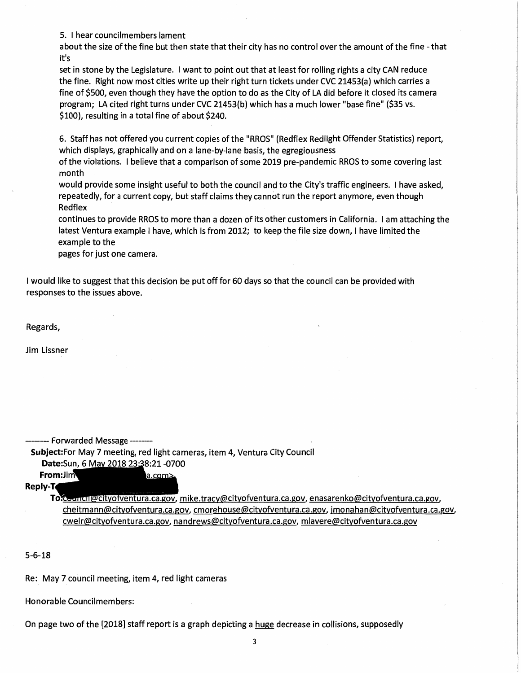5. I hear councilmembers lament

about the size of the fine but then state that their city has no control over the amount of the fine - that it's

set in stone by the Legislature. I want to point out that at least for rolling rights a city CAN reduce the fine. Right now most cities write up their right turn tickets under CVC 21453(a) which carries a fine of \$500, even though they have the option to do as the City of LA did before it closed its camera program; LA cited right turns under CVC 21453(b) which has a much lower "base fine" (\$35 vs. \$100), resulting in a total fine of about \$240.

6. Staff has not offered you current copies of the "RROS" (Redflex Redlight Offender Statistics) report, which displays, graphically and on a lane-by-lane basis, the egregiousness

of the violations. I believe that a comparison of some 2019 pre-pandemic RROS to some covering last month

would provide some insight useful to both the council and to the City's traffic engineers. I have asked, repeatedly, for a current copy, but staff claims they cannot run the report anymore, even though Redflex

continues to provide RROS to more than a dozen of its other customers in California. I am attaching the latest Ventura example I have, which is from 2012; to keep the file size down, I have limited the example to the

pages for just one camera.

I would like to suggest that this decision be put off for 60 days so that the council can be provided with responses to the issues above.

Regards,

Jim Lissner

----- Forwarded Message --------

**Subject:For** May 7 meeting, red light cameras, item 4, Ventura City Council Date:Sun, 6 May 2018 23:38:21 -0700

a.com>

**From:Jim Reply-J.** 

> To computer cityofventura.ca.gov, mike.tracy@cityofventura.ca.gov, enasarenko@cityofventura.ca.gov, cheitmann@cityofventura.ca.gov, cmorehouse@cityofventura.ca.gov, jmonahan@cityofventura.ca.gov, cweir@cityofventura.ca.gov, nandrews@cityofventura.ca.gov, mlavere@cityofventura.ca.gov

5-6-18

Re: May 7 council meeting, item 4, red light cameras

Honorable Councilmembers:

On page two of the [2018] staff report is a graph depicting a huge decrease in collisions, supposedly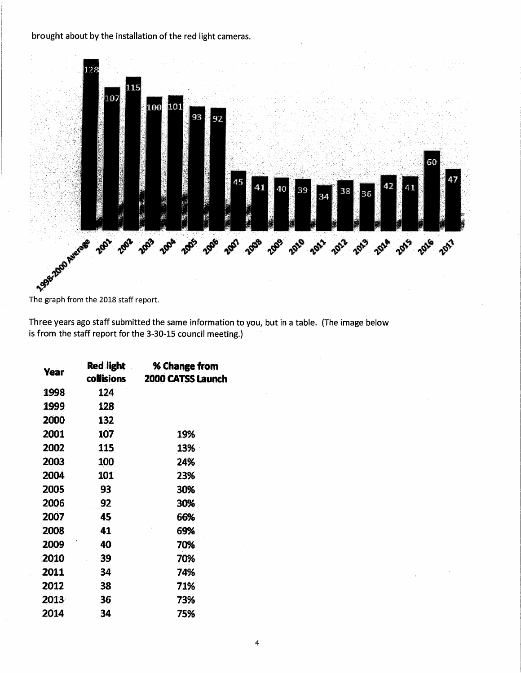#### brought about by the installation of the red light cameras.



Three years ago staff submitted the same information to you, but in a table. (The image below is from the staff report for the 3-30-15 council meeting.)

| <b>Year</b> | Red light<br>collisions | % Change from<br>2000 CATSS Launch |
|-------------|-------------------------|------------------------------------|
| 1998        | 124                     |                                    |
| 1999        | 128                     |                                    |
| 2000        | 132                     |                                    |
| 2001        | 107                     | 19%                                |
| 2002        | <b>115</b>              | 13%                                |
| 2003        | 100                     | 24%                                |
| 2004        | 101                     | 23%                                |
| 2005        | 93                      | 30%                                |
| 2006        | 92                      | 30%                                |
| 2007        | 45                      | 66%                                |
| 2008        | 41                      | 69%                                |
| 2009        | 40                      | 70%                                |
| 2010        | 39                      | 70%                                |
| 2011        | 34                      | 74%                                |
| 2012        | 38                      | 71%                                |
| 2013        | 36                      | 73%                                |
| 2014        | 34                      | 75%                                |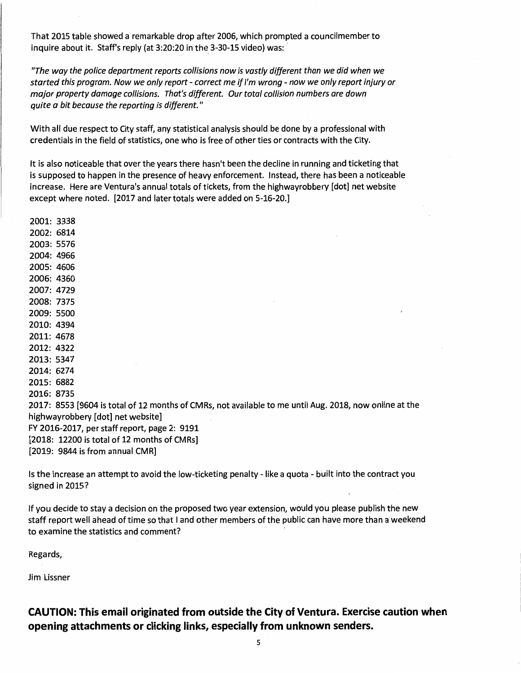That 2015 table showed a remarkable drop after 2006, which prompted a councilmember to inquire about it. Staff's reply (at 3:20:20 in the 3-30-15 video) was:

"The way the police department reports collisions now is vastly different than we did when we started this program. Now we only report - correct me *if* I'm wrong - now we only report injury or major property damage collisions. That's different. Our total collision numbers are down quite a bit because the reporting is different."

With all due respect to City staff, any statistical analysis should be done by a professional with credentials in the field of statistics, one who is free of other ties or contracts with the City.

It is also noticeable that over the years there hasn't been the decline in running and ticketing that is supposed to happen in the presence of heavy enforcement. Instead, there has been a noticeable increase. Here are Ventura's annual totals of tickets, from the highwayrobbery [dot] net website except where noted. [2017 and later totals were added on 5-16-20.]

| 2001: 3338                                                                                             |  |  |  |
|--------------------------------------------------------------------------------------------------------|--|--|--|
| 2002: 6814                                                                                             |  |  |  |
| 2003: 5576                                                                                             |  |  |  |
| 2004: 4966                                                                                             |  |  |  |
| 2005: 4606                                                                                             |  |  |  |
| 2006: 4360                                                                                             |  |  |  |
| 2007: 4729                                                                                             |  |  |  |
| 2008: 7375                                                                                             |  |  |  |
| 2009: 5500                                                                                             |  |  |  |
| 2010: 4394                                                                                             |  |  |  |
| 2011: 4678                                                                                             |  |  |  |
| 2012: 4322                                                                                             |  |  |  |
| 2013: 5347                                                                                             |  |  |  |
| 2014: 6274                                                                                             |  |  |  |
| 2015: 6882                                                                                             |  |  |  |
| 2016: 8735                                                                                             |  |  |  |
| 2017: 8553 [9604 is total of 12 months of CMRs, not available to me until Aug. 2018, now online at the |  |  |  |
| highwayrobbery [dot] net website]                                                                      |  |  |  |
| FY 2016-2017, per staff report, page 2: 9191                                                           |  |  |  |
| [2018: 12200 is total of 12 months of CMRs]                                                            |  |  |  |
| $[2019: 9844$ is from annual CMR]                                                                      |  |  |  |

Is the increase an attempt to avoid the low-ticketing penalty - like a quota - built into the contract you signed in 20157

If you decide to stay a decision on the proposed two year extension, would you please publish the new staff report well ahead of time so that I and other members of the public can have more than a weekend to examine the statistics and comment? '

Regards,

Jim Lissner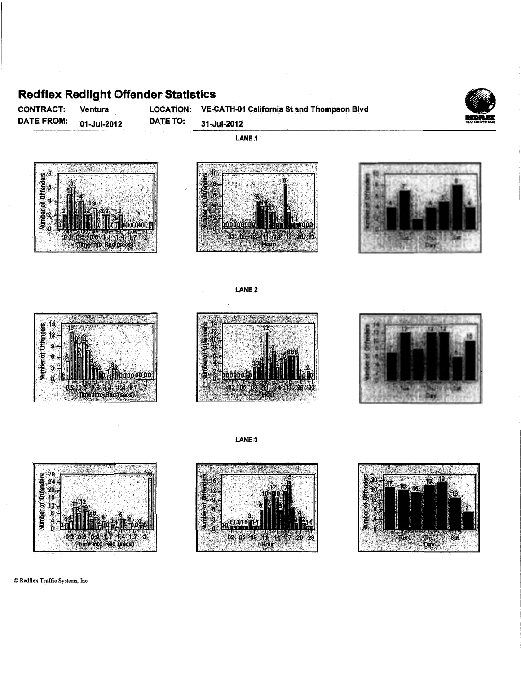#### **Redflex Redlight Offender Statistics**

Ventura

CONTRACT: DATE FROM: 01-Jul-2012 LOCATION: DATE TO:

VE-CATH-01 California St and Thompson Blvd 31-Jul-2012





LANE<sub>2</sub>









© Redflex Traffic Systems, Inc.







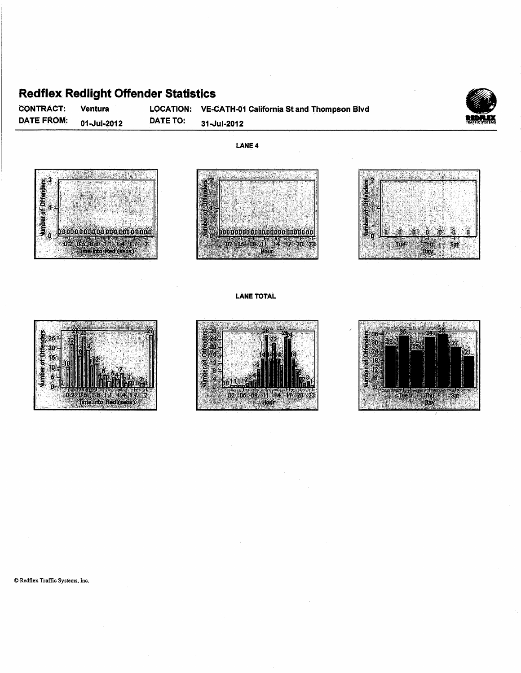#### Redflex: Redlight Offender Statistics

CONTRACT: Ventura LOCATION: VE-CATH-01 California St and Thompson Blvd **Redflex Redlight Offender Statistics**<br>
CONTRACT: Ventura LOCATION: VE-CATH-01 California St and Thompson Blvd<br>
DATE FROM: 01-Jul-2012 DATE TO: 31-Jul-2012

**LANE4** 









#### LANE TOTAL







© Redflex Traffic Systems, Inc.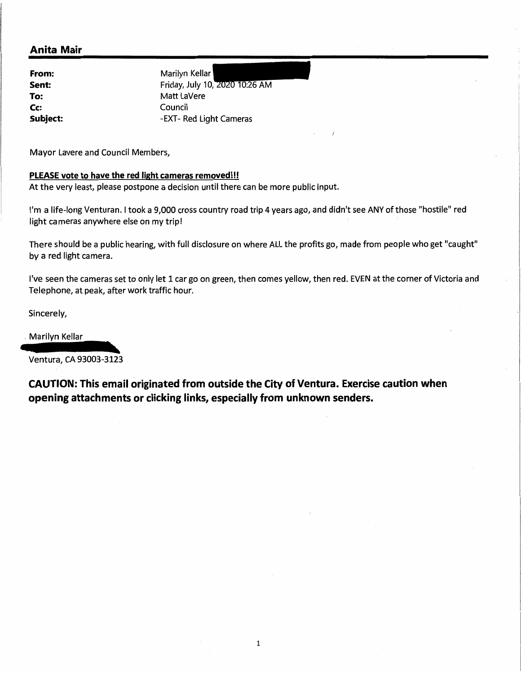#### **Anita Mair**

**From: Sent:**  Cc: Council

Marilyn Kellar<br>Friday, July 10, 2020 10:26 AM **To:** Matt LaVere **Subject:** -EXT- Red Light Cameras

Mayor Lavere and Council Members,

#### **PLEASE vote to have the red light cameras removed!!!**

At the very least, please postpone a decision until there can be more public input.

I'm a life-long Venturan. I took a 9,000 cross country road trip 4 years ago, and didn't see ANY of those "hostile" red light cameras anywhere else on my trip!

There should be a public hearing, with full disclosure on where ALL the profits go, made from people who get "caught" by a red light camera.

I've seen the cameras set to only let 1 car go on green, then comes yellow, then red. EVEN at the corner of Victoria and Telephone, at peak, after work traffic hour. I've seen the cameras set to only let 1 car go on gr<br>Telephone, at peak, after work traffic hour.<br>Sincerely,<br>Marilyn Kellar<br>Ventura, CA 93003-3123

Sincerely,

#### , Marilyn Kellar

Ventura, CA 93003-3123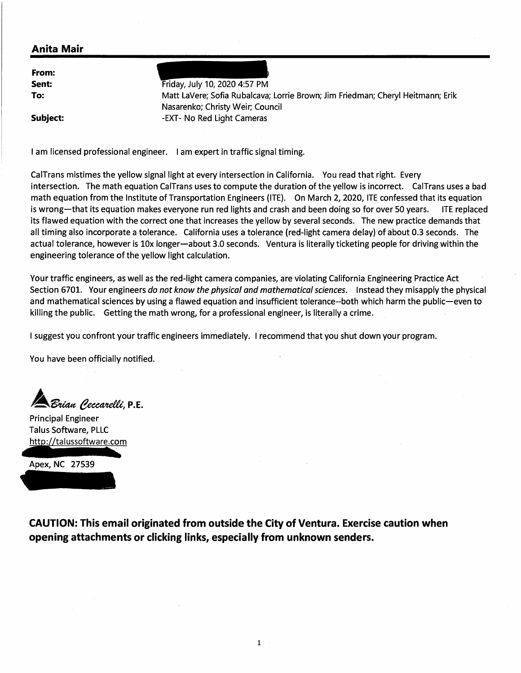#### **Anita Mair**

**From: Sent: To:** 

Friday, July 10, 2020 4:57 PM Matt Lavere; Sofia Rubalcava; Lorrie Brown; Jim Friedman; Cheryl Heitmann; Erik Nasarenko; Christy Weir; Council -EXT- No Red Light Cameras

**Subject:** 

I am licensed professional engineer. I am expert in traffic signal timing.

CalTrans mistimes the yellow signal light at every intersection in California. You read that right. Every intersection. The math equation CalTrans uses to compute the duration of the yellow is incorrect. CalTrans uses a bad math equation from the Institute of Transportation Engineers (ITE). On March 2, 2020, ITE confessed that its equation is wrong-that its equation makes everyone run red lights and crash and been doing so for over 50 years. ITE replaced its flawed equation with the correct one that increases the yellow by several seconds. The new practice demands that all timing also incorporate a tolerance. California uses a tolerance (red-light camera delay) of about 0.3 seconds. The actual tolerance, however is 10x longer-about 3.0 seconds. Ventura is literally ticketing people for driving within the engineering tolerance of the yellow light calculation.

Your traffic engineers, as well as the red-light camera companies, are violating California Engineering Practice Act Section 6701. Your engineers *do not know the physical and mathematical sciences.* Instead they misapply the physical and mathematical sciences by using a flawed equation and insufficient tolerance--both which harm the public-even to killing the public. Getting the math wrong, for a professional engineer, is literally a crime.

I suggest you confront your traffic engineers immediately. I recommend that you shut down your program.

You have been officially notified.

.<br>*Brian Peccarelli*, P.E.

Principal Engineer Talus Software, PLLC http://talussoftware.com

Apex, NC 27539

**CAUTION: This email originated from outside the City of Ventura. Exercise caution when opening attachments or clicking links, especially from unknown senders.** 

1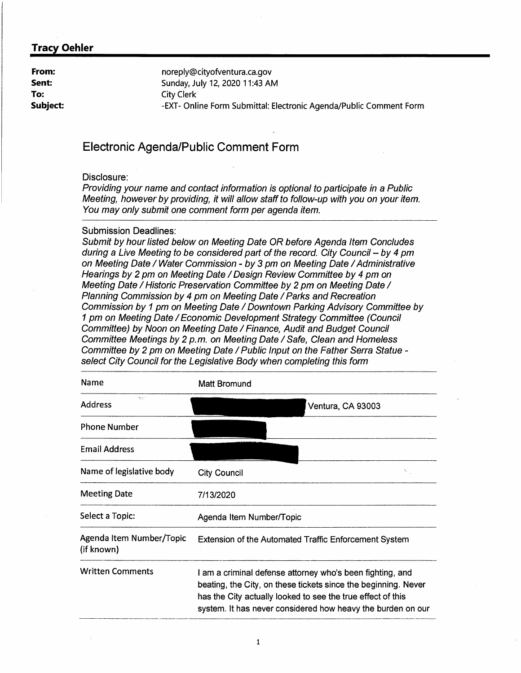**From: Sent: To: Subject:**  noreply@cityofventura.ca.gov Sunday, July 12, 2020 11:43 AM City Clerk -EXT- Online Form Submittal: Electronic Agenda/Public Comment Form

#### **Electronic Agenda/Public Comment Form**

#### Disclosure:

Providing your name and contact information is optional to participate in a Public Meeting, however by providing, it will allow staff to follow-up with you on your item. You may only submit one comment form per agenda item.

#### Submission Deadlines:

Submit by hour listed below on Meeting Date OR before Agenda Item Concludes during a Live Meeting to be considered part of the record. City Council  $-$  by 4 pm on Meeting Date / Water Commission - by 3 pm on Meeting Date / Administrative Hearings by 2 pm on Meeting Date *I* Design Review Committee by 4 pm on Meeting Date / Historic Preservation Committee by 2 pm on Meeting Date / Planning Commission by 4 pm on Meeting Date *I* Parks and Recreation Commission by 1 pm on Meeting Date *I* Downtown Parking Advisory Committee by 1 pm on Meeting Date *I* Economic Development Strategy Committee (Council Committee) by Noon on Meeting Date *I* Finance, Audit and Budget Council Committee Meetings by 2 p.m. on Meeting Date *I* Safe, Clean and Homeless Committee by 2 pm on Meeting Date *I* Public Input on the Father Serra Statue select City Council for the Legislative Body when completing this form

| Name                                   | Matt Bromund                                                                                                                                                                                                                                              |
|----------------------------------------|-----------------------------------------------------------------------------------------------------------------------------------------------------------------------------------------------------------------------------------------------------------|
| Neiro<br><b>Address</b>                | Ventura, CA 93003                                                                                                                                                                                                                                         |
| <b>Phone Number</b>                    |                                                                                                                                                                                                                                                           |
| <b>Email Address</b>                   |                                                                                                                                                                                                                                                           |
| Name of legislative body               | A.<br>City Council                                                                                                                                                                                                                                        |
| <b>Meeting Date</b>                    | 7/13/2020                                                                                                                                                                                                                                                 |
| Select a Topic:                        | Agenda Item Number/Topic                                                                                                                                                                                                                                  |
| Agenda Item Number/Topic<br>(if known) | <b>Extension of the Automated Traffic Enforcement System</b>                                                                                                                                                                                              |
| <b>Written Comments</b>                | I am a criminal defense attorney who's been fighting, and<br>beating, the City, on these tickets since the beginning. Never<br>has the City actually looked to see the true effect of this<br>system. It has never considered how heavy the burden on our |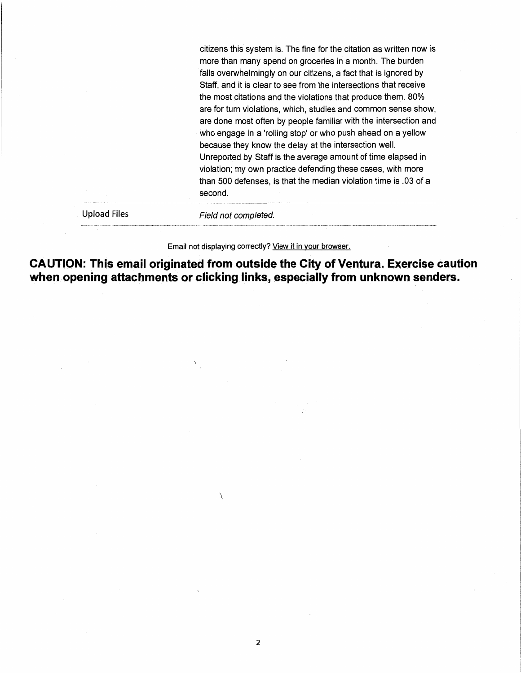citizens this system is. The fine for the citation as written now is more than many spend on groceries in a month. The burden falls overwhelmingly on our citizens, a fact that is ignored by Staff, and it is clear to see from the intersections that receive the most citations and the violations that produce them. 80% are for turn violations, which, studies and common sense show, are done most often by people familiar with the intersection and who engage in a 'rolling stop' or who push ahead on a yellow because they know the delay at the intersection well. Unreported by Staff is the average amount of time elapsed in violation; my own practice defending these cases, with more than 500 defenses, is that the median violation time is .03 of a second.

Upload Files

Field not completed.

Email not displaying correctly? View it in your browser.

**CAUTION: This email originated from outside the City of Ventura. Exercise caution when opening attachments or clicking links, especially from unknown senders.** 

 $\overline{\phantom{a}}$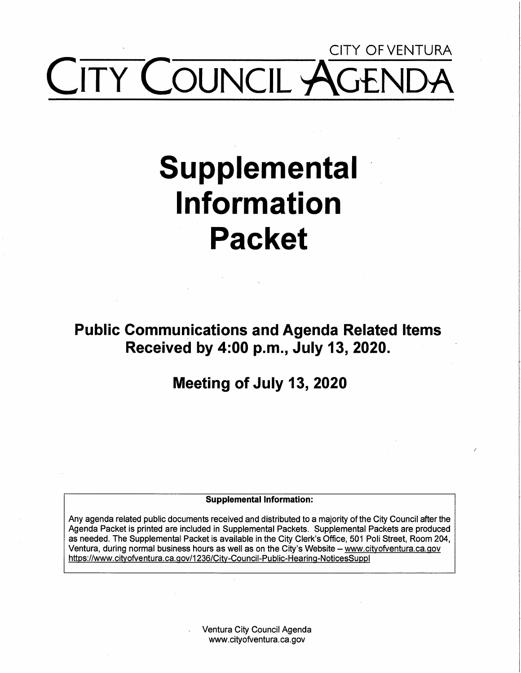## CITY Of VENTURA COUNCIL ~

# **Supplemental Information Packet**

**Public Communications and Agenda Related Items Received by 4:00 p.m., July 13, 2020.** 

**Meeting of July 13, 2020** 

#### **Supplemental Information:**

Any agenda related public documents received and distributed to a majority of the City Council after the Agenda Packet is printed are included in Supplemental Packets. Supplemental Packets are produced as needed. The Supplemental Packet is available in the City Clerk's Office, 501 Poli Street, Room 204, Ventura, during normal business hours as well as on the City's Website - www.cityofventura.ca.gov https://www.cityofventura.ca.gov/1236/City-Council-Public-Hearinq-NoticesSuppl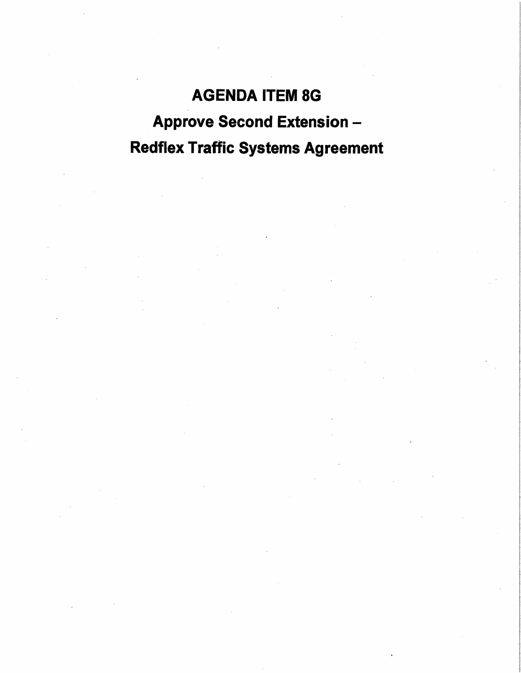### **AGENDA** ITEM 8G Approve Second Extension - Redflex Traffic Systems Agreement